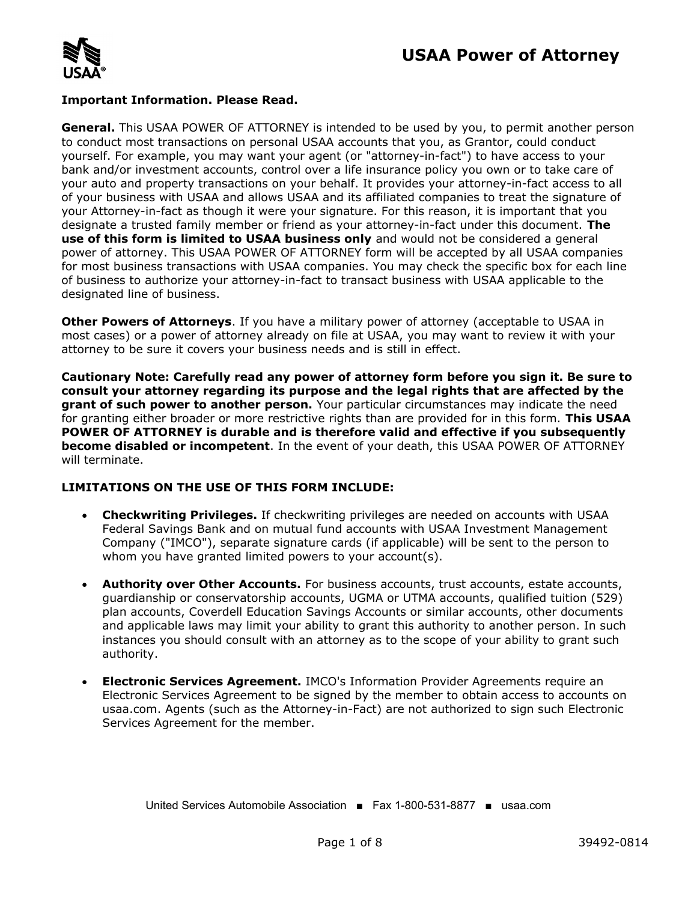

#### **Important Information. Please Read.**

**General.** This USAA POWER OF ATTORNEY is intended to be used by you, to permit another person to conduct most transactions on personal USAA accounts that you, as Grantor, could conduct yourself. For example, you may want your agent (or "attorney-in-fact") to have access to your bank and/or investment accounts, control over a life insurance policy you own or to take care of your auto and property transactions on your behalf. It provides your attorney-in-fact access to all of your business with USAA and allows USAA and its affiliated companies to treat the signature of your Attorney-in-fact as though it were your signature. For this reason, it is important that you designate a trusted family member or friend as your attorney-in-fact under this document. **The use of this form is limited to USAA business only** and would not be considered a general power of attorney. This USAA POWER OF ATTORNEY form will be accepted by all USAA companies for most business transactions with USAA companies. You may check the specific box for each line of business to authorize your attorney-in-fact to transact business with USAA applicable to the designated line of business.

**Other Powers of Attorneys**. If you have a military power of attorney (acceptable to USAA in most cases) or a power of attorney already on file at USAA, you may want to review it with your attorney to be sure it covers your business needs and is still in effect.

**Cautionary Note: Carefully read any power of attorney form before you sign it. Be sure to consult your attorney regarding its purpose and the legal rights that are affected by the grant of such power to another person.** Your particular circumstances may indicate the need for granting either broader or more restrictive rights than are provided for in this form. **This USAA POWER OF ATTORNEY is durable and is therefore valid and effective if you subsequently become disabled or incompetent**. In the event of your death, this USAA POWER OF ATTORNEY will terminate.

#### **LIMITATIONS ON THE USE OF THIS FORM INCLUDE:**

- · **Checkwriting Privileges.** If checkwriting privileges are needed on accounts with USAA Federal Savings Bank and on mutual fund accounts with USAA Investment Management Company ("IMCO"), separate signature cards (if applicable) will be sent to the person to whom you have granted limited powers to your account(s).
- · **Authority over Other Accounts.** For business accounts, trust accounts, estate accounts, guardianship or conservatorship accounts, UGMA or UTMA accounts, qualified tuition (529) plan accounts, Coverdell Education Savings Accounts or similar accounts, other documents and applicable laws may limit your ability to grant this authority to another person. In such instances you should consult with an attorney as to the scope of your ability to grant such authority.
- · **Electronic Services Agreement.** IMCO's Information Provider Agreements require an Electronic Services Agreement to be signed by the member to obtain access to accounts on usaa.com. Agents (such as the Attorney-in-Fact) are not authorized to sign such Electronic Services Agreement for the member.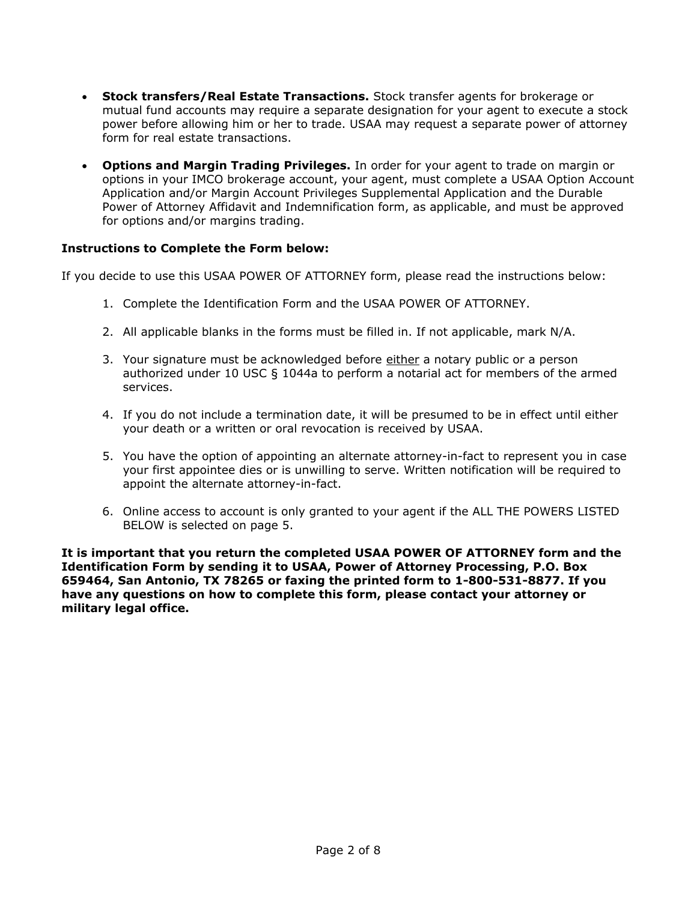- · **Stock transfers/Real Estate Transactions.** Stock transfer agents for brokerage or mutual fund accounts may require a separate designation for your agent to execute a stock power before allowing him or her to trade. USAA may request a separate power of attorney form for real estate transactions.
- · **Options and Margin Trading Privileges.** In order for your agent to trade on margin or options in your IMCO brokerage account, your agent, must complete a USAA Option Account Application and/or Margin Account Privileges Supplemental Application and the Durable Power of Attorney Affidavit and Indemnification form, as applicable, and must be approved for options and/or margins trading.

#### **Instructions to Complete the Form below:**

If you decide to use this USAA POWER OF ATTORNEY form, please read the instructions below:

- 1. Complete the Identification Form and the USAA POWER OF ATTORNEY.
- 2. All applicable blanks in the forms must be filled in. If not applicable, mark N/A.
- 3. Your signature must be acknowledged before either a notary public or a person authorized under 10 USC  $\S$  1044a to perform a notarial act for members of the armed services.
- 4. If you do not include a termination date, it will be presumed to be in effect until either your death or a written or oral revocation is received by USAA.
- 5. You have the option of appointing an alternate attorney-in-fact to represent you in case your first appointee dies or is unwilling to serve. Written notification will be required to appoint the alternate attorney-in-fact.
- 6. Online access to account is only granted to your agent if the ALL THE POWERS LISTED BELOW is selected on page 5.

**It is important that you return the completed USAA POWER OF ATTORNEY form and the Identification Form by sending it to USAA, Power of Attorney Processing, P.O. Box 659464, San Antonio, TX 78265 or faxing the printed form to 1-800-531-8877. If you have any questions on how to complete this form, please contact your attorney or military legal office.**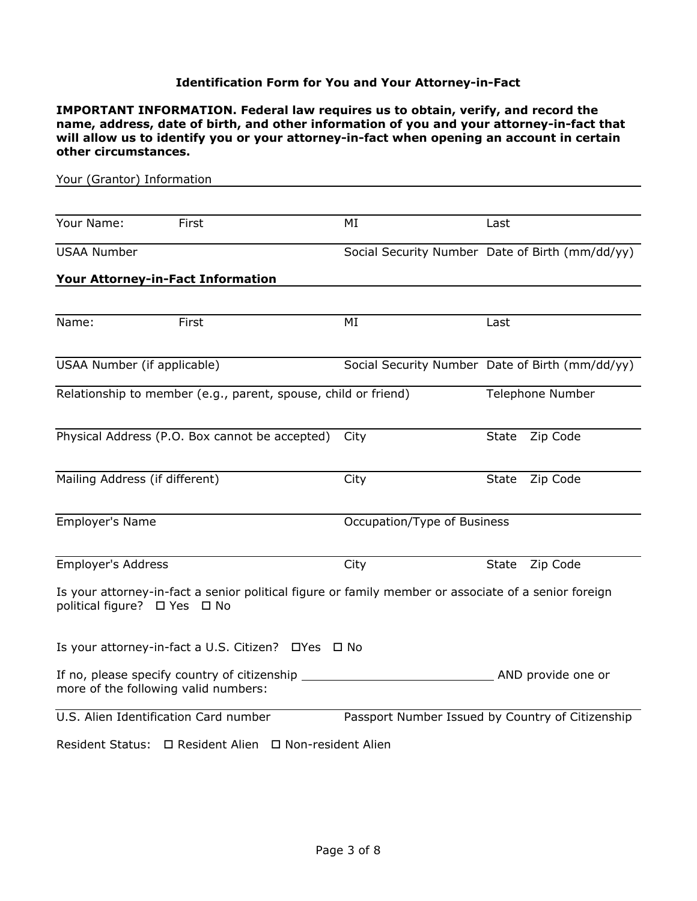#### **Identification Form for You and Your Attorney-in-Fact**

**IMPORTANT INFORMATION. Federal law requires us to obtain, verify, and record the name, address, date of birth, and other information of you and your attorney-in-fact that will allow us to identify you or your attorney-in-fact when opening an account in certain other circumstances.**

| Your (Grantor) Information     |                                                                                                      |                             |                                                  |
|--------------------------------|------------------------------------------------------------------------------------------------------|-----------------------------|--------------------------------------------------|
|                                |                                                                                                      |                             |                                                  |
| Your Name:                     | First                                                                                                | MI                          | Last                                             |
| <b>USAA Number</b>             |                                                                                                      |                             | Social Security Number Date of Birth (mm/dd/yy)  |
|                                | Your Attorney-in-Fact Information                                                                    |                             |                                                  |
|                                |                                                                                                      |                             |                                                  |
| Name:                          | First                                                                                                | MI                          | Last                                             |
| USAA Number (if applicable)    |                                                                                                      |                             | Social Security Number Date of Birth (mm/dd/yy)  |
|                                | Relationship to member (e.g., parent, spouse, child or friend)                                       |                             | Telephone Number                                 |
|                                | Physical Address (P.O. Box cannot be accepted)                                                       | City                        | Zip Code<br><b>State</b>                         |
| Mailing Address (if different) |                                                                                                      | City                        | Zip Code<br><b>State</b>                         |
| Employer's Name                |                                                                                                      | Occupation/Type of Business |                                                  |
| <b>Employer's Address</b>      |                                                                                                      | City                        | Zip Code<br>State                                |
| political figure? □ Yes □ No   | Is your attorney-in-fact a senior political figure or family member or associate of a senior foreign |                             |                                                  |
|                                | Is your attorney-in-fact a U.S. Citizen? □ Yes □ No                                                  |                             |                                                  |
|                                | If no, please specify country of citizenship<br>more of the following valid numbers:                 |                             | AND provide one or                               |
|                                | U.S. Alien Identification Card number                                                                |                             | Passport Number Issued by Country of Citizenship |
|                                | Resident Status: □ Resident Alien □ Non-resident Alien                                               |                             |                                                  |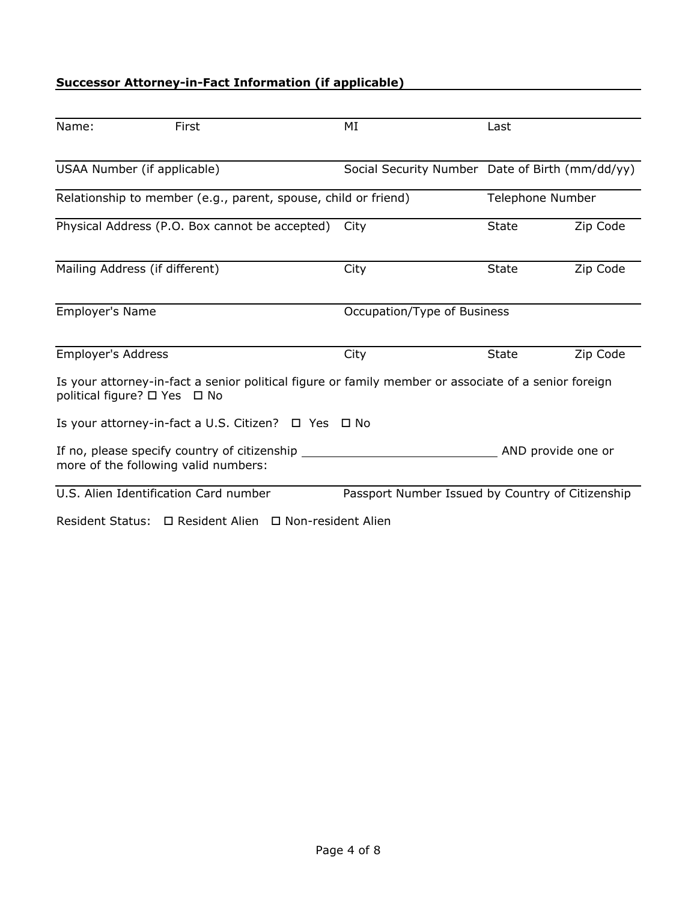## **Successor Attorney-in-Fact Information (if applicable)**

| Name:                     | First                                                                                                                                | MI                                               | Last             |                    |
|---------------------------|--------------------------------------------------------------------------------------------------------------------------------------|--------------------------------------------------|------------------|--------------------|
|                           | USAA Number (if applicable)                                                                                                          | Social Security Number Date of Birth (mm/dd/yy)  |                  |                    |
|                           | Relationship to member (e.g., parent, spouse, child or friend)                                                                       |                                                  | Telephone Number |                    |
|                           | Physical Address (P.O. Box cannot be accepted)                                                                                       | City                                             | <b>State</b>     | Zip Code           |
|                           | Mailing Address (if different)                                                                                                       | City                                             | <b>State</b>     | Zip Code           |
| Employer's Name           |                                                                                                                                      | Occupation/Type of Business                      |                  |                    |
| <b>Employer's Address</b> |                                                                                                                                      | City                                             | <b>State</b>     | Zip Code           |
|                           | Is your attorney-in-fact a senior political figure or family member or associate of a senior foreign<br>political figure? □ Yes □ No |                                                  |                  |                    |
|                           | Is your attorney-in-fact a U.S. Citizen? □ Yes □ No                                                                                  |                                                  |                  |                    |
|                           | If no, please specify country of citizenship<br>more of the following valid numbers:                                                 |                                                  |                  | AND provide one or |
|                           | U.S. Alien Identification Card number                                                                                                | Passport Number Issued by Country of Citizenship |                  |                    |
|                           | Resident Status: □ Resident Alien □ Non-resident Alien                                                                               |                                                  |                  |                    |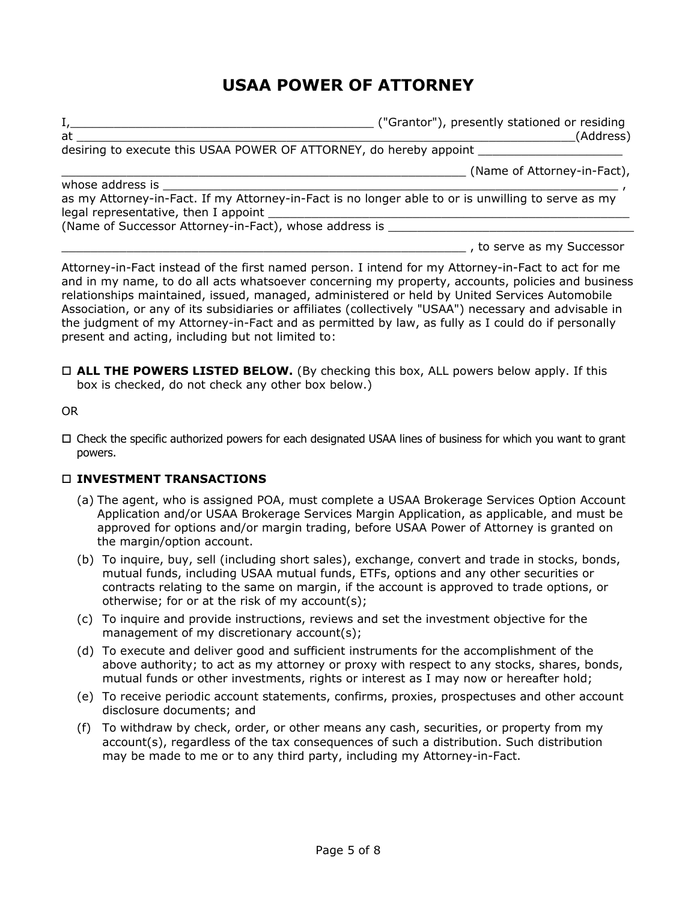# **USAA POWER OF ATTORNEY**

I,\_\_\_\_\_\_\_\_\_\_\_\_\_\_\_\_\_\_\_\_\_\_\_\_\_\_\_\_\_\_\_\_\_\_\_\_\_\_\_\_\_\_ ("Grantor"), presently stationed or residing at \_\_\_\_\_\_\_\_\_\_\_\_\_\_\_\_\_\_\_\_\_\_\_\_\_\_\_\_\_\_\_\_\_\_\_\_\_\_\_\_\_\_\_\_\_\_\_\_\_\_\_\_\_\_\_\_\_\_\_\_\_\_\_\_\_\_\_\_\_(Address) desiring to execute this USAA POWER OF ATTORNEY, do hereby appoint \_\_\_\_\_\_\_\_\_\_\_\_\_ \_\_\_\_\_\_\_\_\_\_\_\_\_\_\_\_\_\_\_\_\_\_\_\_\_\_\_\_\_\_\_\_\_\_\_\_\_\_\_\_\_\_\_\_\_\_\_\_\_\_\_\_\_\_\_\_ (Name of Attorney-in-Fact), whose address is

as my Attorney-in-Fact. If my Attorney-in-Fact is no longer able to or is unwilling to serve as my legal representative, then I appoint

(Name of Successor Attorney-in-Fact), whose address is

\_\_\_\_\_\_\_\_\_\_\_\_\_\_\_\_\_\_\_\_\_\_\_\_\_\_\_\_\_\_\_\_\_\_\_\_\_\_\_\_\_\_\_\_\_\_\_\_\_\_\_\_\_\_\_\_ , to serve as my Successor

Attorney-in-Fact instead of the first named person. I intend for my Attorney-in-Fact to act for me and in my name, to do all acts whatsoever concerning my property, accounts, policies and business relationships maintained, issued, managed, administered or held by United Services Automobile Association, or any of its subsidiaries or affiliates (collectively "USAA") necessary and advisable in the judgment of my Attorney-in-Fact and as permitted by law, as fully as I could do if personally present and acting, including but not limited to:

 $\Box$  **ALL THE POWERS LISTED BELOW.** (By checking this box, ALL powers below apply. If this box is checked, do not check any other box below.)

OR

 $\Box$  Check the specific authorized powers for each designated USAA lines of business for which you want to grant powers.

### o **INVESTMENT TRANSACTIONS**

- (a) The agent, who is assigned POA, must complete a USAA Brokerage Services Option Account Application and/or USAA Brokerage Services Margin Application, as applicable, and must be approved for options and/or margin trading, before USAA Power of Attorney is granted on the margin/option account.
- (b) To inquire, buy, sell (including short sales), exchange, convert and trade in stocks, bonds, mutual funds, including USAA mutual funds, ETFs, options and any other securities or contracts relating to the same on margin, if the account is approved to trade options, or otherwise; for or at the risk of my account(s);
- (c) To inquire and provide instructions, reviews and set the investment objective for the management of my discretionary account(s);
- (d) To execute and deliver good and sufficient instruments for the accomplishment of the above authority; to act as my attorney or proxy with respect to any stocks, shares, bonds, mutual funds or other investments, rights or interest as I may now or hereafter hold;
- (e) To receive periodic account statements, confirms, proxies, prospectuses and other account disclosure documents; and
- (f) To withdraw by check, order, or other means any cash, securities, or property from my account(s), regardless of the tax consequences of such a distribution. Such distribution may be made to me or to any third party, including my Attorney-in-Fact.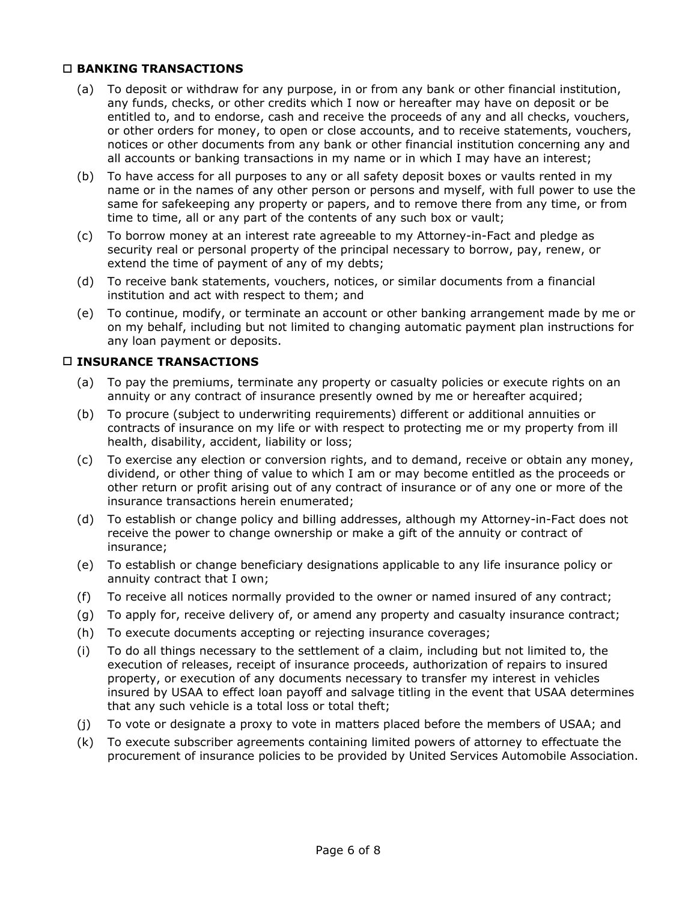#### o **BANKING TRANSACTIONS**

- (a) To deposit or withdraw for any purpose, in or from any bank or other financial institution, any funds, checks, or other credits which I now or hereafter may have on deposit or be entitled to, and to endorse, cash and receive the proceeds of any and all checks, vouchers, or other orders for money, to open or close accounts, and to receive statements, vouchers, notices or other documents from any bank or other financial institution concerning any and all accounts or banking transactions in my name or in which I may have an interest;
- (b) To have access for all purposes to any or all safety deposit boxes or vaults rented in my name or in the names of any other person or persons and myself, with full power to use the same for safekeeping any property or papers, and to remove there from any time, or from time to time, all or any part of the contents of any such box or vault;
- (c) To borrow money at an interest rate agreeable to my Attorney-in-Fact and pledge as security real or personal property of the principal necessary to borrow, pay, renew, or extend the time of payment of any of my debts;
- (d) To receive bank statements, vouchers, notices, or similar documents from a financial institution and act with respect to them; and
- (e) To continue, modify, or terminate an account or other banking arrangement made by me or on my behalf, including but not limited to changing automatic payment plan instructions for any loan payment or deposits.

#### o **INSURANCE TRANSACTIONS**

- (a) To pay the premiums, terminate any property or casualty policies or execute rights on an annuity or any contract of insurance presently owned by me or hereafter acquired;
- (b) To procure (subject to underwriting requirements) different or additional annuities or contracts of insurance on my life or with respect to protecting me or my property from ill health, disability, accident, liability or loss;
- (c) To exercise any election or conversion rights, and to demand, receive or obtain any money, dividend, or other thing of value to which I am or may become entitled as the proceeds or other return or profit arising out of any contract of insurance or of any one or more of the insurance transactions herein enumerated;
- (d) To establish or change policy and billing addresses, although my Attorney-in-Fact does not receive the power to change ownership or make a gift of the annuity or contract of insurance;
- (e) To establish or change beneficiary designations applicable to any life insurance policy or annuity contract that I own;
- (f) To receive all notices normally provided to the owner or named insured of any contract;
- (g) To apply for, receive delivery of, or amend any property and casualty insurance contract;
- (h) To execute documents accepting or rejecting insurance coverages;
- (i) To do all things necessary to the settlement of a claim, including but not limited to, the execution of releases, receipt of insurance proceeds, authorization of repairs to insured property, or execution of any documents necessary to transfer my interest in vehicles insured by USAA to effect loan payoff and salvage titling in the event that USAA determines that any such vehicle is a total loss or total theft;
- (j) To vote or designate a proxy to vote in matters placed before the members of USAA; and
- (k) To execute subscriber agreements containing limited powers of attorney to effectuate the procurement of insurance policies to be provided by United Services Automobile Association.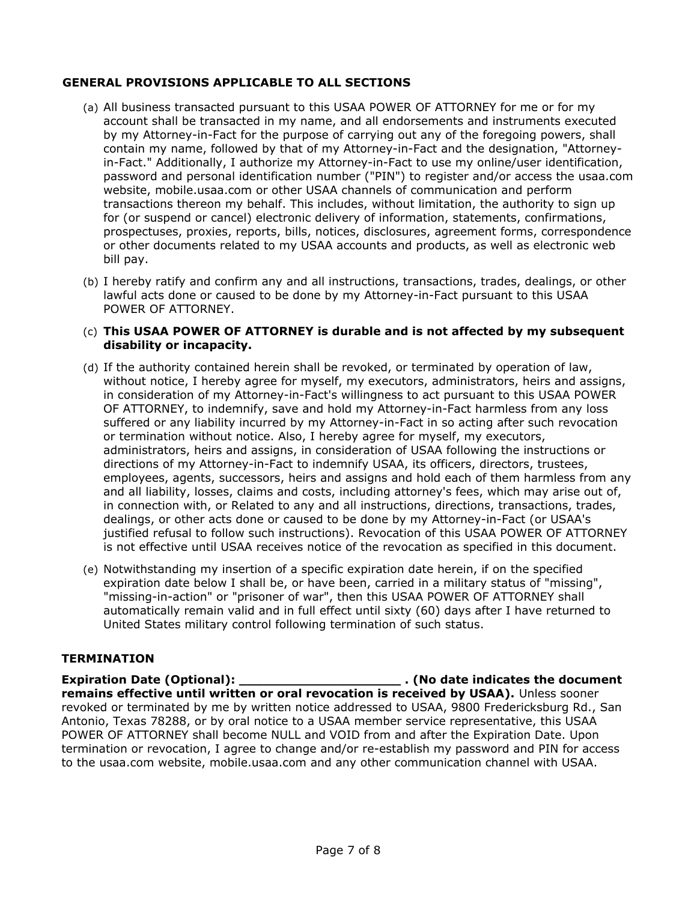#### **GENERAL PROVISIONS APPLICABLE TO ALL SECTIONS**

- (a) All business transacted pursuant to this USAA POWER OF ATTORNEY for me or for my account shall be transacted in my name, and all endorsements and instruments executed by my Attorney-in-Fact for the purpose of carrying out any of the foregoing powers, shall contain my name, followed by that of my Attorney-in-Fact and the designation, "Attorneyin-Fact." Additionally, I authorize my Attorney-in-Fact to use my online/user identification, password and personal identification number ("PIN") to register and/or access the usaa.com website, mobile.usaa.com or other USAA channels of communication and perform transactions thereon my behalf. This includes, without limitation, the authority to sign up for (or suspend or cancel) electronic delivery of information, statements, confirmations, prospectuses, proxies, reports, bills, notices, disclosures, agreement forms, correspondence or other documents related to my USAA accounts and products, as well as electronic web bill pay.
- (b) I hereby ratify and confirm any and all instructions, transactions, trades, dealings, or other lawful acts done or caused to be done by my Attorney-in-Fact pursuant to this USAA POWER OF ATTORNEY.

#### (c) **This USAA POWER OF ATTORNEY is durable and is not affected by my subsequent disability or incapacity.**

- (d) If the authority contained herein shall be revoked, or terminated by operation of law, without notice, I hereby agree for myself, my executors, administrators, heirs and assigns, in consideration of my Attorney-in-Fact's willingness to act pursuant to this USAA POWER OF ATTORNEY, to indemnify, save and hold my Attorney-in-Fact harmless from any loss suffered or any liability incurred by my Attorney-in-Fact in so acting after such revocation or termination without notice. Also, I hereby agree for myself, my executors, administrators, heirs and assigns, in consideration of USAA following the instructions or directions of my Attorney-in-Fact to indemnify USAA, its officers, directors, trustees, employees, agents, successors, heirs and assigns and hold each of them harmless from any and all liability, losses, claims and costs, including attorney's fees, which may arise out of, in connection with, or Related to any and all instructions, directions, transactions, trades, dealings, or other acts done or caused to be done by my Attorney-in-Fact (or USAA's justified refusal to follow such instructions). Revocation of this USAA POWER OF ATTORNEY is not effective until USAA receives notice of the revocation as specified in this document.
- (e) Notwithstanding my insertion of a specific expiration date herein, if on the specified expiration date below I shall be, or have been, carried in a military status of "missing", "missing-in-action" or "prisoner of war", then this USAA POWER OF ATTORNEY shall automatically remain valid and in full effect until sixty (60) days after I have returned to United States military control following termination of such status.

#### **TERMINATION**

**Expiration Date (Optional): \_\_\_\_\_\_\_\_\_\_\_\_\_\_\_\_\_\_\_\_ . (No date indicates the document remains effective until written or oral revocation is received by USAA).** Unless sooner revoked or terminated by me by written notice addressed to USAA, 9800 Fredericksburg Rd., San Antonio, Texas 78288, or by oral notice to a USAA member service representative, this USAA POWER OF ATTORNEY shall become NULL and VOID from and after the Expiration Date. Upon termination or revocation, I agree to change and/or re-establish my password and PIN for access to the usaa.com website, mobile.usaa.com and any other communication channel with USAA.